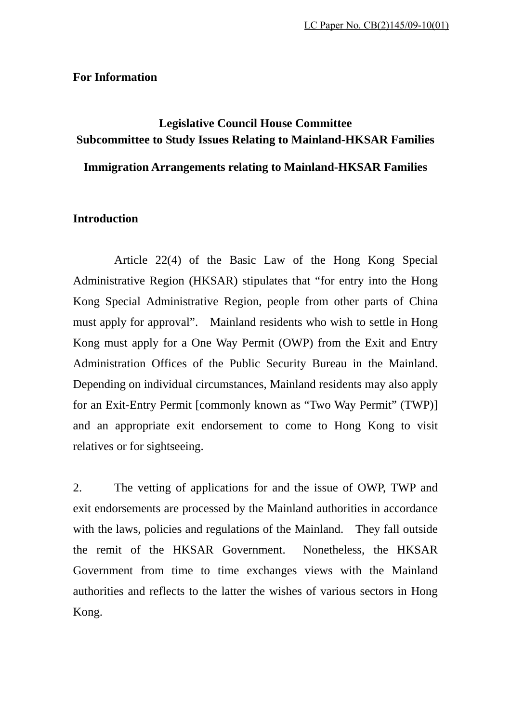#### **For Information**

# **Legislative Council House Committee Subcommittee to Study Issues Relating to Mainland-HKSAR Families**

## **Immigration Arrangements relating to Mainland-HKSAR Families**

### **Introduction**

 Article 22(4) of the Basic Law of the Hong Kong Special Administrative Region (HKSAR) stipulates that "for entry into the Hong Kong Special Administrative Region, people from other parts of China must apply for approval". Mainland residents who wish to settle in Hong Kong must apply for a One Way Permit (OWP) from the Exit and Entry Administration Offices of the Public Security Bureau in the Mainland. Depending on individual circumstances, Mainland residents may also apply for an Exit-Entry Permit [commonly known as "Two Way Permit" (TWP)] and an appropriate exit endorsement to come to Hong Kong to visit relatives or for sightseeing.

2. The vetting of applications for and the issue of OWP, TWP and exit endorsements are processed by the Mainland authorities in accordance with the laws, policies and regulations of the Mainland. They fall outside the remit of the HKSAR Government. Nonetheless, the HKSAR Government from time to time exchanges views with the Mainland authorities and reflects to the latter the wishes of various sectors in Hong Kong.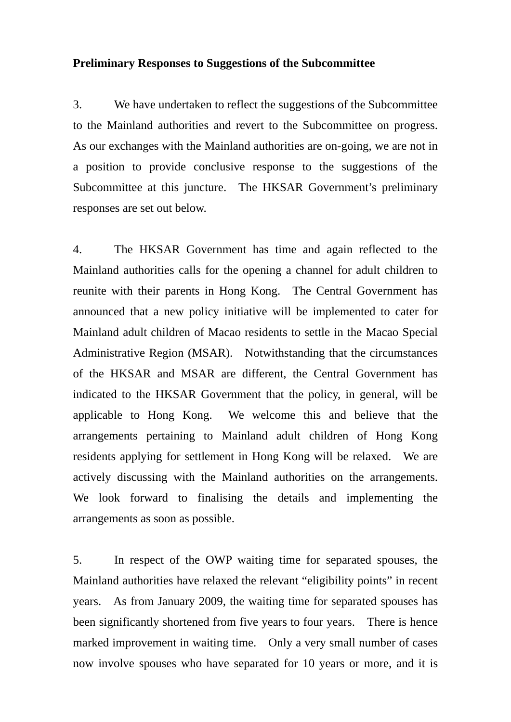#### **Preliminary Responses to Suggestions of the Subcommittee**

3. We have undertaken to reflect the suggestions of the Subcommittee to the Mainland authorities and revert to the Subcommittee on progress. As our exchanges with the Mainland authorities are on-going, we are not in a position to provide conclusive response to the suggestions of the Subcommittee at this juncture. The HKSAR Government's preliminary responses are set out below.

4. The HKSAR Government has time and again reflected to the Mainland authorities calls for the opening a channel for adult children to reunite with their parents in Hong Kong. The Central Government has announced that a new policy initiative will be implemented to cater for Mainland adult children of Macao residents to settle in the Macao Special Administrative Region (MSAR). Notwithstanding that the circumstances of the HKSAR and MSAR are different, the Central Government has indicated to the HKSAR Government that the policy, in general, will be applicable to Hong Kong. We welcome this and believe that the arrangements pertaining to Mainland adult children of Hong Kong residents applying for settlement in Hong Kong will be relaxed. We are actively discussing with the Mainland authorities on the arrangements. We look forward to finalising the details and implementing the arrangements as soon as possible.

5. In respect of the OWP waiting time for separated spouses, the Mainland authorities have relaxed the relevant "eligibility points" in recent years. As from January 2009, the waiting time for separated spouses has been significantly shortened from five years to four years. There is hence marked improvement in waiting time. Only a very small number of cases now involve spouses who have separated for 10 years or more, and it is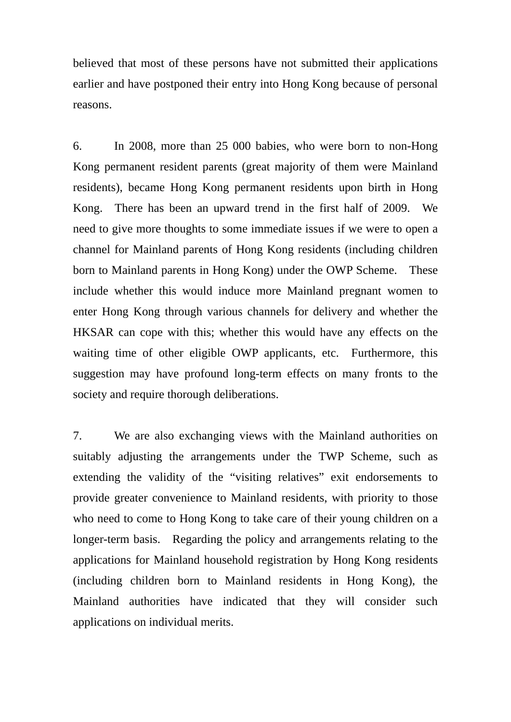believed that most of these persons have not submitted their applications earlier and have postponed their entry into Hong Kong because of personal reasons.

6. In 2008, more than 25 000 babies, who were born to non-Hong Kong permanent resident parents (great majority of them were Mainland residents), became Hong Kong permanent residents upon birth in Hong Kong. There has been an upward trend in the first half of 2009. We need to give more thoughts to some immediate issues if we were to open a channel for Mainland parents of Hong Kong residents (including children born to Mainland parents in Hong Kong) under the OWP Scheme. These include whether this would induce more Mainland pregnant women to enter Hong Kong through various channels for delivery and whether the HKSAR can cope with this; whether this would have any effects on the waiting time of other eligible OWP applicants, etc. Furthermore, this suggestion may have profound long-term effects on many fronts to the society and require thorough deliberations.

7. We are also exchanging views with the Mainland authorities on suitably adjusting the arrangements under the TWP Scheme, such as extending the validity of the "visiting relatives" exit endorsements to provide greater convenience to Mainland residents, with priority to those who need to come to Hong Kong to take care of their young children on a longer-term basis. Regarding the policy and arrangements relating to the applications for Mainland household registration by Hong Kong residents (including children born to Mainland residents in Hong Kong), the Mainland authorities have indicated that they will consider such applications on individual merits.